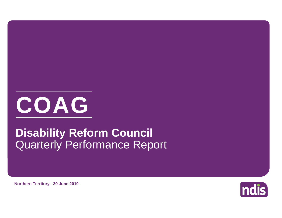

## Quarterly Performance Report **Disability Reform Council**



**Northern Territory - 30 June 2019**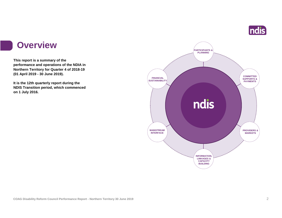

### **Overview**

**This report is a summary of the performance and operations of the NDIA in Northern Territory for Quarter 4 of 2018-19 (01 April 2019 - 30 June 2019).**

**It is the 12th quarterly report during the NDIS Transition period, which commenced on 1 July 2016.** 

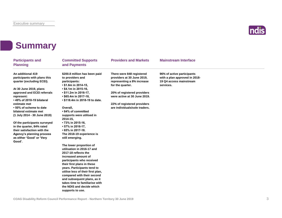

## **Summary**

| <b>Participants and</b><br><b>Planning</b>                                               | <b>Committed Supports</b><br>and Payments                                                  | <b>Providers and Markets</b>                                                                              | <b>Mainstream Interface</b>                                                                         |  |
|------------------------------------------------------------------------------------------|--------------------------------------------------------------------------------------------|-----------------------------------------------------------------------------------------------------------|-----------------------------------------------------------------------------------------------------|--|
| An additional 419<br>participants with plans this<br>quarter (excluding ECEI).           | \$200.8 million has been paid<br>to providers and<br>participants:<br>• \$1.6m in 2014-15, | There were 848 registered<br>providers at 30 June 2019,<br>representing a 8% increase<br>for the quarter. | 96% of active participants<br>with a plan approved in 2018-<br>19 Q4 access mainstream<br>services. |  |
| At 30 June 2019, plans                                                                   | • \$4.1m in 2015-16,                                                                       |                                                                                                           |                                                                                                     |  |
| approved and ECEI referrals<br>represent:                                                | $\cdot$ \$11.2m in 2016-17,<br>• \$65.4m in 2017-18,                                       | 20% of registered providers<br>were active at 30 June 2019.                                               |                                                                                                     |  |
| • 49% of 2018-19 bilateral<br>estimate met                                               | • \$118.4m in 2018-19 to date.                                                             | 22% of registered providers                                                                               |                                                                                                     |  |
| •50% of scheme to date<br>bilateral estimate met<br>(1 July 2014 - 30 June 2019)         | Overall,<br>• 84% of committed<br>supports were utilised in<br>$2014 - 15$                 | are individuals/sole traders.                                                                             |                                                                                                     |  |
| Of the participants surveyed<br>in the quarter, 84% rated<br>their satisfaction with the | • 73% in 2015-16,<br>• 57% in 2016-17,<br>• 65% in 2017-18.                                |                                                                                                           |                                                                                                     |  |
| Agency's planning process<br>as either 'Good' or 'Very<br>Good'.                         | The 2018-19 experience is<br>still emerging.                                               |                                                                                                           |                                                                                                     |  |
|                                                                                          | The lower proportion of<br>utilisation in 2016-17 and<br>2017-18 reflects the              |                                                                                                           |                                                                                                     |  |
|                                                                                          | increased amount of<br>participants who received<br>their first plans in these             |                                                                                                           |                                                                                                     |  |
|                                                                                          | years. Participants tend to<br>utilise less of their first plan,                           |                                                                                                           |                                                                                                     |  |
|                                                                                          | compared with their second<br>and subsequent plans, as it                                  |                                                                                                           |                                                                                                     |  |
|                                                                                          | takes time to familiarise with<br>the NDIS and decide which                                |                                                                                                           |                                                                                                     |  |
|                                                                                          | supports to use.                                                                           |                                                                                                           |                                                                                                     |  |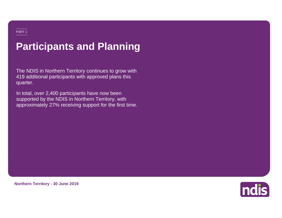## **Participants and Planning**

The NDIS in Northern Territory continues to grow with 419 additional participants with approved plans this quarter.

In total, over 2,400 participants have now been supported by the NDIS in Northern Territory, with approximately 27% receiving support for the first time.



**Northern Territory - 30 June 2019**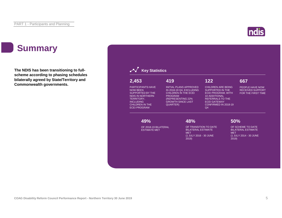## **Summary**

**The NDIS has been transitioning to fullscheme according to phasing schedules bilaterally agreed by State/Territory and Commonwealth governments.**

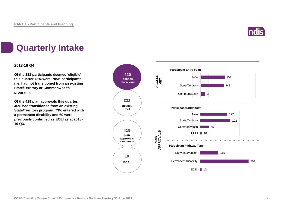

## **Quarterly Intake**

### **2018-19 Q4**

**Of the 332 participants deemed 'eligible' this quarter 46% were 'New' participants (i.e. had not transitioned from an existing State/Territory or Commonwealth program).**

**Of the 419 plan approvals this quarter, 46% had transitioned from an existing State/Territory program, 73% entered with a permanent disability and 69 were previously confirmed as ECEI as at 2018- 19 Q3.**

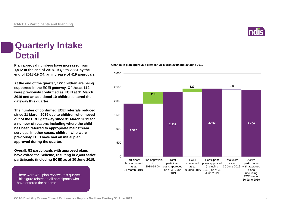

### **Quarterly Intake Detail**

**Plan approval numbers have increased from 1,912 at the end of 2018-19 Q3 to 2,331 by the end of 2018-19 Q4, an increase of 419 approvals.**

**At the end of the quarter, 122 children are being supported in the ECEI gateway. Of these, 112 were previously confirmed as ECEI at 31 March 2019 and an additional 10 children entered the gateway this quarter.**

**The number of confirmed ECEI referrals reduced since 31 March 2019 due to children who moved out of the ECEI gateway since 31 March 2019 for a number of reasons including where the child has been referred to appropriate mainstream services. In other cases, children who were previously ECEI have had an initial plan approved during the quarter.**

**Overall, 53 participants with approved plans have exited the Scheme, resulting in 2,400 active participants (including ECEI) as at 30 June 2019.**

There were 462 plan reviews this quarter. This figure relates to all participants who have entered the scheme.



#### **Change in plan approvals between 31 March 2019 and 30 June 2019**

**COAG Disability Reform Council Performance Report - Northern Territory 30 June 2019** 7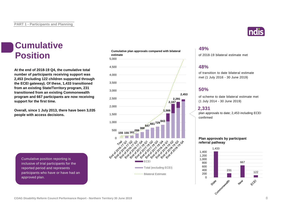# **Cumulative**

**At the end of 2018-19 Q4, the cumulative total number of participants receiving support was 2,453 (including 122 children supported through the ECEI gateway). Of these, 1,433 transitioned from an existing State/Territory program, 231 transitioned from an existing Commonwealth program and 667 participants are now receiving support for the first time.**

**Overall, since 1 July 2013, there have been 3,035 people with access decisions.**

Cumulative position reporting is inclusive of trial participants for the reported period and represents participants who have or have had an approved plan.

**Cumulative plan approvals compared with bilateral estimate Position** estimate plan approvais compared with bilateral of 2018-19 bilateral estimate met



### **49%**

### **48%**

of transition to date bilateral estimate met (1 July 2016 - 30 June 2019)

### **50%**

of scheme to date bilateral estimate met (1 July 2014 - 30 June 2019)

### **2,331**

plan approvals to date; 2,453 including ECEI confirmed

**Plan approvals by participant referral pathway**



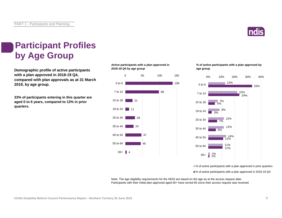

## **Participant Profiles by Age Group**

**2018-19 Q4 by age group Demographic profile of active participants with a plan approved in 2018-19 Q4, compared with plan approvals as at 31 March 2019, by age group.**

**33% of participants entering in this quarter are aged 0 to 6 years, compared to 13% in prior quarters.**

**Active participants with a plan approved in** 



**% of active participants with a plan approved by age group**



■% of active participants with a plan approved in prior quarters

■% of active participants with a plan approved in 2018-19 Q4

Note: The age eligibility requirements for the NDIS are based on the age as at the access request date. Participants with their initial plan approved aged 65+ have turned 65 since their access request was received.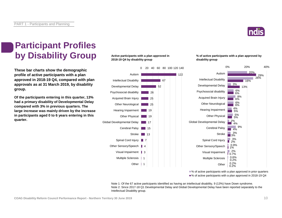

## **Participant Profiles by Disability Group**

**These bar charts show the demographic profile of active participants with a plan approved in 2018-19 Q4, compared with plan approvals as at 31 March 2019, by disability group.**

**Of the participants entering in this quarter, 13% had a primary disability of Developmental Delay compared with 3% in previous quarters. The large increase was mainly driven by the increase in participants aged 0 to 6 years entering in this quarter.**

### **Active participants with a plan approved in 2018-19 Q4 by disability group**



#### **% of active participants with a plan approved by disability group**



■% of active participants with a plan approved in prior quarters ■% of active participants with a plan approved in 2018-19 Q4

Note 1: Of the 67 active participants identified as having an intellectual disability, 9 (13%) have Down syndrome. Note 2: Since 2017-18 Q1 Developmental Delay and Global Developmental Delay have been reported separately to the Intellectual Disability group.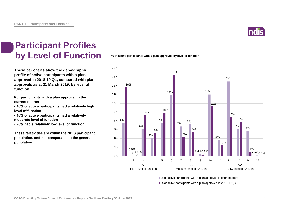

## **Participant Profiles by Level of Function**

**These bar charts show the demographic profile of active participants with a plan approved in 2018-19 Q4, compared with plan approvals as at 31 March 2019, by level of function.**

**For participants with a plan approval in the current quarter:** 

**• 40% of active participants had a relatively high level of function**

**• 40% of active participants had a relatively moderate level of function** 

**• 20% had a relatively low level of function**

**These relativities are within the NDIS participant population, and not comparable to the general population.**

**% of active participants with a plan approved by level of function**



■% of active participants with a plan approved in prior quarters

■% of active participants with a plan approved in 2018-19 Q4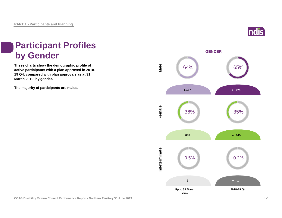

## **Participant Profiles by Gender**

**These charts show the demographic profile of active participants with a plan approved in 2018- 19 Q4, compared with plan approvals as at 31 March 2019, by gender.**

**The majority of participants are males.**

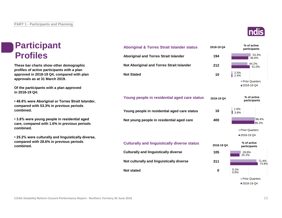## **Participant Profiles**

**These bar charts show other demographic profiles of active participants with a plan approved in 2018-19 Q4, compared with plan approvals as at 31 March 2019.**

**Of the participants with a plan approved in 2018-19 Q4:**

**• 46.6% were Aboriginal or Torres Strait Islander, compared with 53.3% in previous periods combined.**

**• 3.8% were young people in residential aged care, compared with 1.6% in previous periods combined.**

**• 25.2% were culturally and linguistically diverse, compared with 28.6% in previous periods combined.**



**Not stated**



0.1%

**0**

74.8%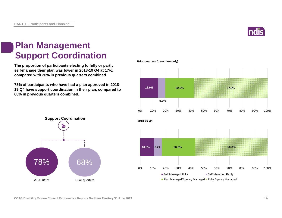

### **Plan Management Support Coordination**

**The proportion of participants electing to fully or partly self-manage their plan was lower in 2018-19 Q4 at 17%, compared with 20% in previous quarters combined.**

**78% of participants who have had a plan approved in 2018- 19 Q4 have support coordination in their plan, compared to 68% in previous quarters combined.**



**Prior quarters (transition only)**



**COAG Disability Reform Council Performance Report - Northern Territory 30 June 2019** 14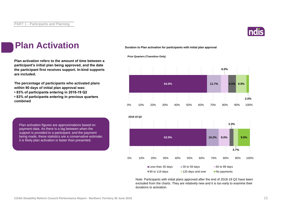

### **Plan Activation**

**Plan activation refers to the amount of time between a participant's initial plan being approved, and the date the participant first receives support. In-kind supports are included.**

**The percentage of participants who activated plans within 90 days of initial plan approval was:** 

**• 83% of participants entering in 2018-19 Q2**

**• 83% of participants entering in previous quarters combined**

Plan activation figures are approximations based on payment data. As there is a lag between when the support is provided to a participant, and the payment being made, these statistics are a conservative estimate; it is likely plan activation is faster than presented.

**Duration to Plan activation for participants with initial plan approval**





Note: Participants with initial plans approved after the end of 2018-19 Q2 have been excluded from the charts. They are relatively new and it is too early to examine their durations to activation.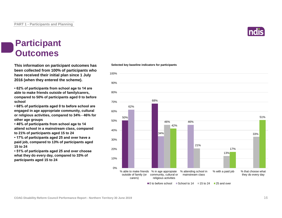

### **Participant Outcomes**

**This information on participant outcomes has Selected key baseline indicators for participants been collected from 100% of participants who have received their initial plan since 1 July 2016 (when they entered the scheme).**

**• 62% of participants from school age to 14 are able to make friends outside of family/carers, compared to 50% of participants aged 0 to before school**

**• 68% of participants aged 0 to before school are engaged in age appropriate community, cultural or religious activities, compared to 34% - 46% for other age groups**

**• 46% of participants from school age to 14 attend school in a mainstream class, compared to 21% of participants aged 15 to 24**

**• 17% of participants aged 25 and over have a paid job, compared to 13% of participants aged 15 to 24**

**• 51% of participants aged 25 and over choose what they do every day, compared to 33% of participants aged 15 to 24**



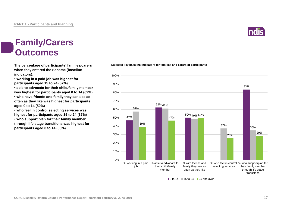### **Family/Carers Outcomes**

**The percentage of participants' families/carers when they entered the Scheme (baseline indicators):**

**• working in a paid job was highest for participants aged 15 to 24 (57%)**

**• able to advocate for their child/family member was highest for participants aged 0 to 14 (62%)**

**• who have friends and family they can see as often as they like was highest for participants aged 0 to 14 (50%)**

**• who feel in control selecting services was highest for participants aged 15 to 24 (37%)**

**• who support/plan for their family member through life stage transitions was highest for participants aged 0 to 14 (83%)**





 $\Box$  0 to 14  $\Box$  15 to 24  $\Box$  25 and over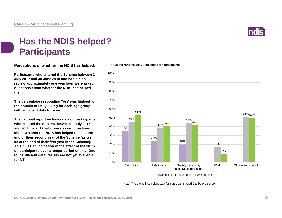

## **Has the NDIS helped? Participants**

**Perceptions of whether the NDIS has helped.**

**Participants who entered the Scheme between 1 July 2017 and 30 June 2018 and had a plan review approximately one year later were asked questions about whether the NDIS had helped them.**

**The percentage responding 'Yes' was highest for the domain of Daily Living for each age group with sufficient data to report.** 

**The national report includes data on participants who entered the Scheme between 1 July 2016 and 30 June 2017, who were asked questions about whether the NDIS has helped them at the end of their second year of the Scheme (as well as at the end of their first year in the Scheme). This gives an indication of the effect of the NDIS on participants over a longer period of time. Due to insufficient data, results are not yet available for NT.**



Note: There was insufficient data for participants aged 0 to before school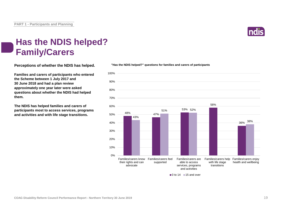

## **Has the NDIS helped? Family/Carers**

**Perceptions of whether the NDIS has helped.**

**Families and carers of participants who entered the Scheme between 1 July 2017 and 30 June 2018 and had a plan review approximately one year later were asked questions about whether the NDIS had helped them.**

**The NDIS has helped families and carers of participants most to access services, programs and activities and with life stage transitions.**



**"Has the NDIS helped?" questions for families and carers of participants**

 $\blacksquare$  0 to 14  $\blacksquare$  15 and over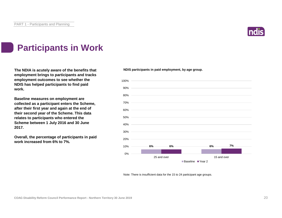

## **Participants in Work**

**The NDIA is acutely aware of the benefits that employment brings to participants and tracks employment outcomes to see whether the NDIS has helped participants to find paid work.**

**Baseline measures on employment are collected as a participant enters the Scheme, after their first year and again at the end of their second year of the Scheme. This data relates to participants who entered the Scheme between 1 July 2016 and 30 June 2017.**

**Overall, the percentage of participants in paid work increased from 6% to 7%.**

#### **NDIS participants in paid employment, by age group.**



Note: There is insufficient data for the 15 to 24 participant age groups.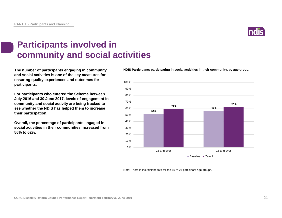

## **Participants involved in community and social activities**

**The number of participants engaging in community and social activities is one of the key measures for ensuring quality experiences and outcomes for participants.**

**For participants who entered the Scheme between 1 July 2016 and 30 June 2017, levels of engagement in community and social activity are being tracked to see whether the NDIS has helped them to increase their participation.**

**Overall, the percentage of participants engaged in social activities in their communities increased from 56% to 62%.** 

**NDIS Participants participating in social activities in their community, by age group.**



Note: There is insufficient data for the 15 to 24 participant age groups.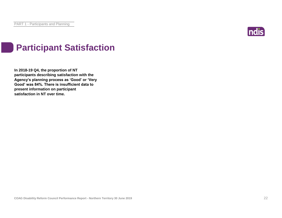

## **Participant Satisfaction**

**In 2018-19 Q4, the proportion of NT participants describing satisfaction with the Agency's planning process as 'Good' or 'Very Good' was 84%. There is insufficient data to present information on participant satisfaction in NT over time.**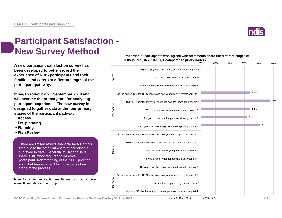

0% 20% 40% 60% 80% 100%

## **Participant Satisfaction - New Survey Method**

**A new participant satisfaction survey has been developed to better record the experience of NDIS participants and their families and carers at different stages of the participant pathway.**

**It began roll-out on 1 September 2018 and will become the primary tool for analysing participant experience. The new survey is designed to gather data at the four primary stages of the participant pathway:**

- **Access**
- **Pre-planning**
- **Planning**
- **Plan Review**

There are limited results available for NT at this time due to the small numbers of participants surveyed to date. Generally at National level, there is still work required to improve participant understanding of the NDIS process and what happens next for individuals at each stage of the process.

Note: Participant satisfaction results are not shown if there is insufficient data in the group.





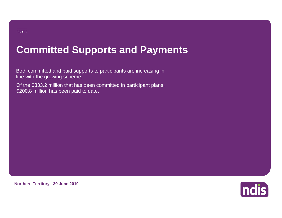### PART 2

## **Committed Supports and Payments**

Both committed and paid supports to participants are increasing in line with the growing scheme.

Of the \$333.2 million that has been committed in participant plans, \$200.8 million has been paid to date.



**Northern Territory - 30 June 2019**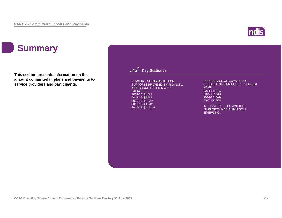## **ndis**

## **Summary**

**This section presents information on the amount committed in plans and payments to service providers and participants.**

### **Key Statistics**

SUMMARY OF PAYMENTS FOR SUPPORTS PROVIDED BY FINANCIAL YEAR SINCE THE NDIS WAS LAUNCHED: 2014-15: \$1.6M 2015-16: \$4.1M 2016-17: \$11.2M 2017-18: \$65.4M 2018-19: \$118.4M

#### PERCENTAGE OF COMMITTED SUPPORTS UTILISATION BY FINANCIAL YEAR: 2014-15: 84% 2015-16: 73% 2016-17: 56% 2017-18: 65%

UTILISATION OF COMMITTED SUPPORTS IN 2018-19 IS STILL EMERGING.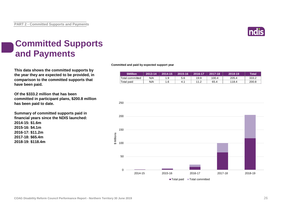

## **Committed Supports and Payments**

**This data shows the committed supports by the year they are expected to be provided, in comparison to the committed supports that have been paid.**

**Of the \$333.2 million that has been committed in participant plans, \$200.8 million has been paid to date.**

**Summary of committed supports paid in financial years since the NDIS launched: 2014-15: \$1.6m 2015-16: \$4.1m 2016-17: \$11.2m 2017-18: \$65.4m 2018-19: \$118.4m**

#### **Committed and paid by expected support year**

| <b>\$Million</b> | $2013 - 14$ | 2014-15 | 2015-16 | 2016-17 | 2017-18 | 2018-19 | Total' |
|------------------|-------------|---------|---------|---------|---------|---------|--------|
| Total committed  | N/A         | 1.9     | 5.6     | 19.9    | 100.4   | 205.4   | 333.2  |
| Total paid       | N/A         | . 6     | 4.1     | 11.2    | 65.4    | 118.4   | 200.8  |

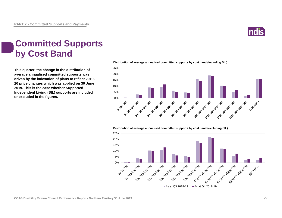

## **Committed Supports by Cost Band**

**This quarter, the change in the distribution of average annualised committed supports was driven by the indexation of plans to reflect 2019- 20 price changes which was applied on 30 June 2019. This is the case whether Supported Independent Living (SIL) supports are included or excluded in the figures.**

**Distribution of average annualised committed supports by cost band (including SIL)** 



**Distribution of average annualised committed supports by cost band (excluding SIL)** 

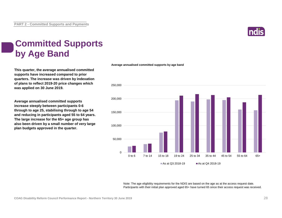

## **Committed Supports by Age Band**

**This quarter, the average annualised committed supports have increased compared to prior quarters. The increase was driven by indexation of plans to reflect 2019-20 price changes which was applied on 30 June 2019.**

**Average annualised committed supports increase steeply between participants 0-6 through to age 25, stabilising through to age 54 and reducing in participants aged 55 to 64 years. The large increase for the 65+ age group has also been driven by a small number of very large plan budgets approved in the quarter.**

#### **Average annualised committed supports by age band**



Note: The age eligibility requirements for the NDIS are based on the age as at the access request date. Participants with their initial plan approved aged 65+ have turned 65 since their access request was received.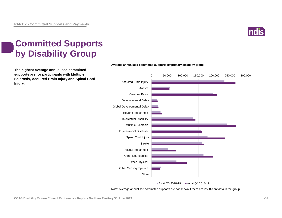

## **Committed Supports by Disability Group**

**The highest average annualised committed supports are for participants with Multiple Sclerosis, Acquired Brain Injury and Spinal Cord Injury.**



**Average annualised committed supports by primary disability group**

As at Q3 2018-19 As at Q4 2018-19

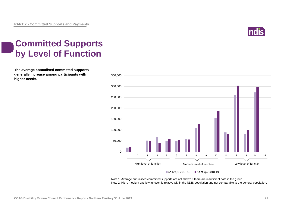

## **Committed Supports by Level of Function**

**The average annualised committed supports generally increase among participants with higher needs.**



Note 1: Average annualised committed supports are not shown if there are insufficient data in the group.

Note 2: High, medium and low function is relative within the NDIS population and not comparable to the general population.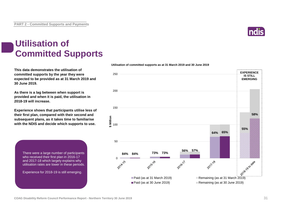

## **Utilisation of Committed Supports**

**This data demonstrates the utilisation of committed supports by the year they were expected to be provided as at 31 March 2019 and 30 June 2019.** 

**As there is a lag between when support is provided and when it is paid, the utilisation in 2018-19 will increase.**

**Experience shows that participants utilise less of their first plan, compared with their second and subsequent plans, as it takes time to familiarise with the NDIS and decide which supports to use.** 

> There were a large number of participants who received their first plan in 2016-17 and 2017-18 which largely explains why utilisation rates are lower in these periods.

Experience for 2018-19 is still emerging.



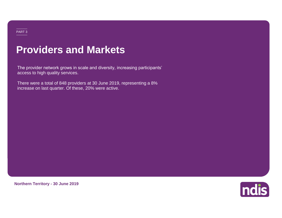### PART 3

## **Providers and Markets**

The provider network grows in scale and diversity, increasing participants' access to high quality services.

There were a total of 848 providers at 30 June 2019, representing a 8% increase on last quarter. Of these, 20% were active.



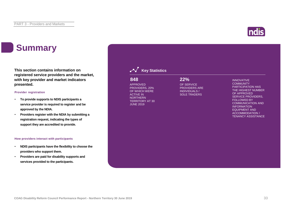## **Summary**

**This section contains information on registered service providers and the market, with key provider and market indicators presented.**

#### **Provider registration**

- **To provide supports to NDIS participants a service provider is required to register and be approved by the NDIA.**
- **Providers register with the NDIA by submitting a registration request, indicating the types of support they are accredited to provide.**

#### **How providers interact with participants**

- **NDIS participants have the flexibility to choose the providers who support them.**
- **Providers are paid for disability supports and services provided to the participants.**

|     | $\sim$ Key Statistics |     |
|-----|-----------------------|-----|
| 848 |                       | 22% |

APPROVED PROVIDERS, 20% OF WHICH WERE ACTIVE IN **NORTHERN** TERRITORY AT 30 JUNE 2019

OF SERVICE PROVIDERS ARE INDIVIDUALS / SOLE TRADERS

INNOVATIVE **COMMUNITY** PARTICIPATION HAS THE HIGHEST NUMBER OF APPROVED SERVICE PROVIDERS, FOLLOWED BY COMMUNICATION AND INFORMATION EQUIPMENT AND ACCOMMODATION / TENANCY ASSISTANCE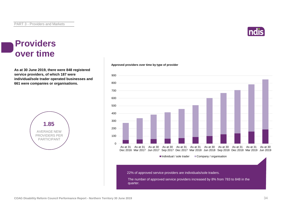

### **Providers over time**

**As at 30 June 2019, there were 848 registered service providers, of which 187 were individual/sole trader operated businesses and 661 were companies or organisations.**



**Approved providers over time by type of provider**

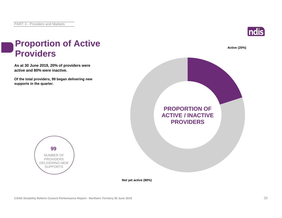**active and 80% were inactive.**

**99** NUMBER OF PROVIDERS DELIVERING NEW SUPPORTS

**supports in the quarter.**

**Providers**



# **As at 30 June 2019, 20% of providers were Of the total providers, 99 began delivering new Proportion of Active Active (20%) PROPORTION OF ACTIVE / INACTIVE PROVIDERS**

**Not yet active (80%)**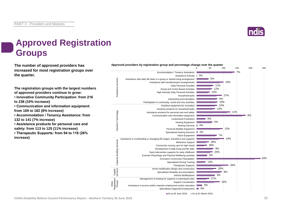

## **Approved Registration Groups**

**The number of approved providers has** *Approved providers by registration group and percentage change over the quarter***<br>
<sup>100</sup> increased for most registration groups over the quarter.**

**The registration groups with the largest numbers of approved providers continue to grow:**

**• Innovative Community Participation: from 216 to 238 (10% increase)**

**• Communication and information equipment: from 169 to 182 (8% increase)**

**• Accommodation / Tenancy Assistance: from 132 to 141 (7% increase)**

**• Assistance products for personal care and safety: from 113 to 125 (11% increase)**

**• Therapeutic Supports: from 94 to 118 (26% increase)**



As at 30 June 2019 **As at 31 March 2019**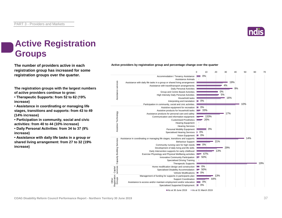

## **Active Registration Groups**

**The number of providers active in each registration group has increased for some registration groups over the quarter.**

**The registration groups with the largest numbers of active providers continue to grow:**

**• Therapeutic Supports: from 52 to 62 (19% increase)**

**• Assistance in coordinating or managing life stages, transitions and supports: from 43 to 49 (14% increase)**

**• Participation in community, social and civic activities: from 40 to 44 (10% increase)**

**• Daily Personal Activities: from 34 to 37 (9% increase)**

**• Assistance with daily life tasks in a group or shared living arrangement: from 27 to 32 (19% increase)**



**Active providers by registration group and percentage change over the quarter**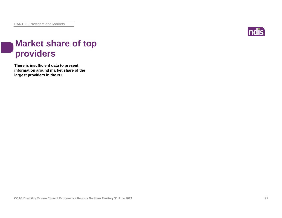

## **Market share of top providers**

**There is insufficient data to present information around market share of the largest providers in the NT.**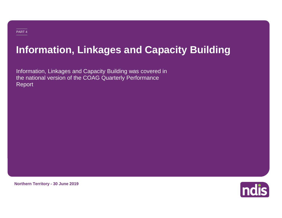## **Information, Linkages and Capacity Building**

Information, Linkages and Capacity Building was covered in the national version of the COAG Quarterly Performance Report

**Northern Territory - 30 June 2019**

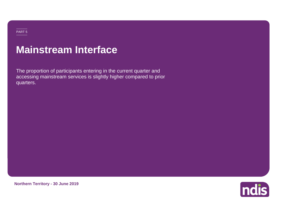## **Mainstream Interface**

The proportion of participants entering in the current quarter and accessing mainstream services is slightly higher compared to prior quarters.

**Northern Territory - 30 June 2019**

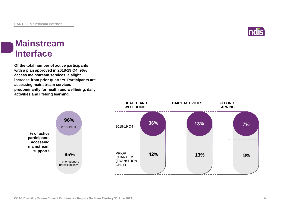

### **Mainstream Interface**

**Of the total number of active participants with a plan approved in 2018-19 Q4, 96% access mainstream services, a slight increase from prior quarters. Participants are accessing mainstream services predominantly for health and wellbeing, daily activities and lifelong learning.**